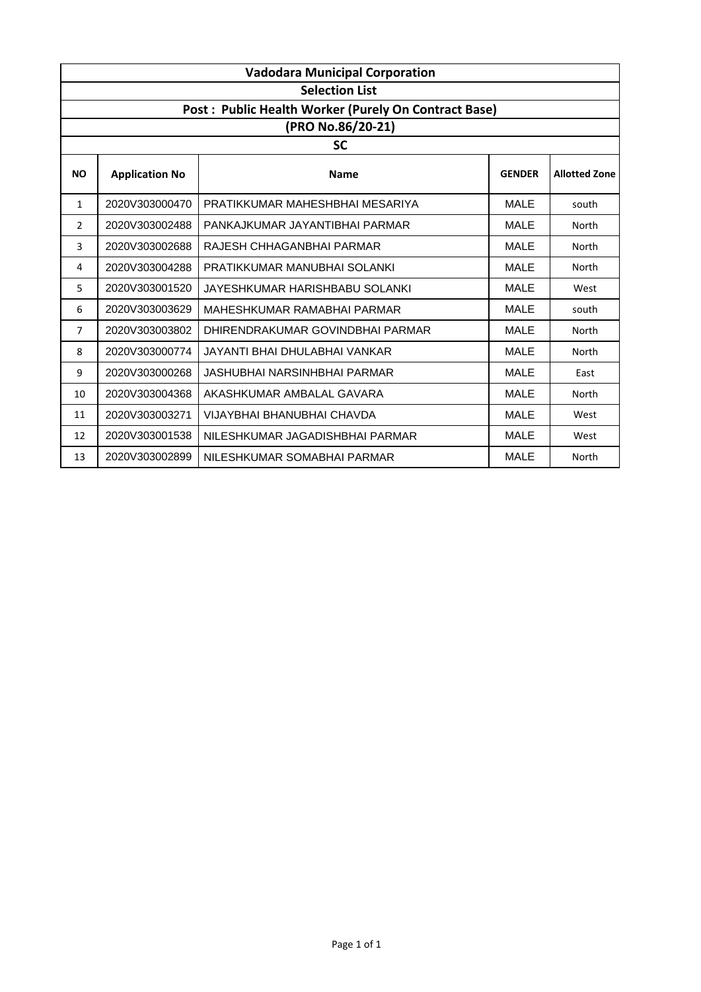|                | <b>Vadodara Municipal Corporation</b> |                                                      |               |                      |  |  |
|----------------|---------------------------------------|------------------------------------------------------|---------------|----------------------|--|--|
|                | <b>Selection List</b>                 |                                                      |               |                      |  |  |
|                |                                       | Post: Public Health Worker (Purely On Contract Base) |               |                      |  |  |
|                |                                       | (PRO No.86/20-21)                                    |               |                      |  |  |
|                |                                       | <b>SC</b>                                            |               |                      |  |  |
| <b>NO</b>      | <b>Application No</b>                 | <b>Name</b>                                          | <b>GENDER</b> | <b>Allotted Zone</b> |  |  |
| 1              | 2020V303000470                        | PRATIKKUMAR MAHESHBHAI MESARIYA                      | <b>MALE</b>   | south                |  |  |
| 2              | 2020V303002488                        | PANKAJKUMAR JAYANTIBHAI PARMAR                       | <b>MALE</b>   | North                |  |  |
| 3              | 2020V303002688                        | RAJESH CHHAGANBHAI PARMAR                            | <b>MALE</b>   | North                |  |  |
| 4              | 2020V303004288                        | PRATIKKUMAR MANUBHAI SOLANKI                         | <b>MALE</b>   | North                |  |  |
| 5              | 2020V303001520                        | JAYESHKUMAR HARISHBABU SOLANKI                       | <b>MALE</b>   | West                 |  |  |
| 6              | 2020V303003629                        | MAHESHKUMAR RAMABHAI PARMAR                          | <b>MALE</b>   | south                |  |  |
| $\overline{7}$ | 2020V303003802                        | DHIRENDRAKUMAR GOVINDBHAI PARMAR                     | <b>MALE</b>   | North                |  |  |
| 8              | 2020V303000774                        | JAYANTI BHAI DHULABHAI VANKAR                        | <b>MALE</b>   | North                |  |  |
| 9              | 2020V303000268                        | JASHUBHAI NARSINHBHAI PARMAR                         | <b>MALE</b>   | East                 |  |  |
| 10             | 2020V303004368                        | AKASHKUMAR AMBALAL GAVARA                            | <b>MALE</b>   | North                |  |  |
| 11             | 2020V303003271                        | <b>VIJAYBHAI BHANUBHAI CHAVDA</b>                    | <b>MALE</b>   | West                 |  |  |
| 12             | 2020V303001538                        | NILESHKUMAR JAGADISHBHAI PARMAR                      | <b>MALE</b>   | West                 |  |  |
| 13             | 2020V303002899                        | NILESHKUMAR SOMABHAI PARMAR                          | <b>MALE</b>   | North                |  |  |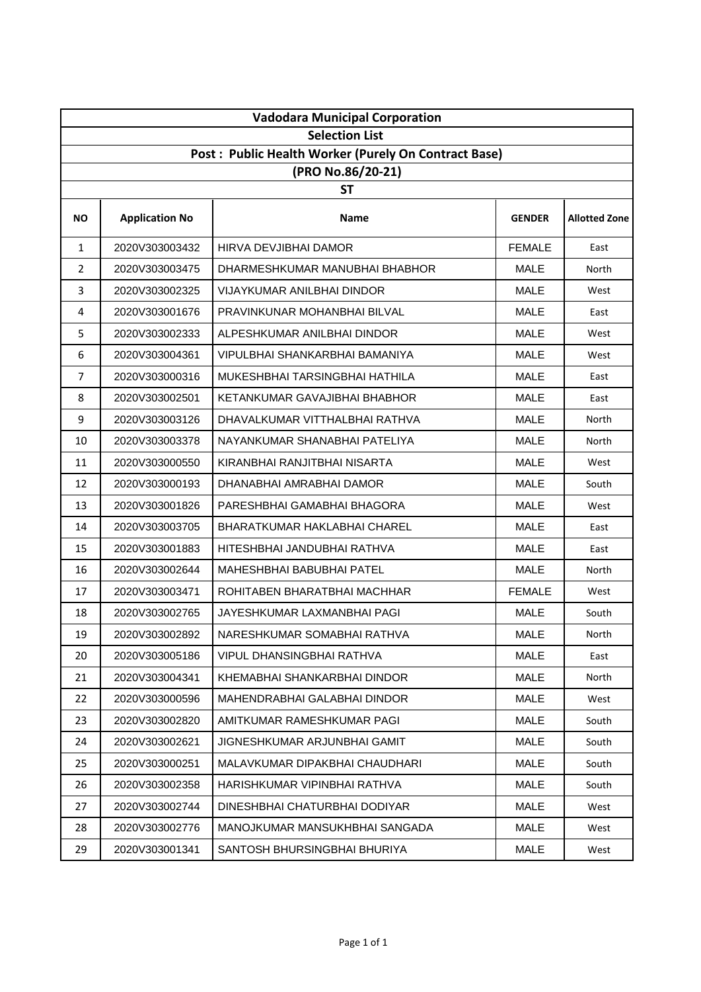| <b>Vadodara Municipal Corporation</b> |                       |                                                                           |               |                      |  |
|---------------------------------------|-----------------------|---------------------------------------------------------------------------|---------------|----------------------|--|
|                                       | <b>Selection List</b> |                                                                           |               |                      |  |
|                                       |                       | Post: Public Health Worker (Purely On Contract Base)<br>(PRO No.86/20-21) |               |                      |  |
|                                       |                       | <b>ST</b>                                                                 |               |                      |  |
| ΝO                                    | <b>Application No</b> | <b>Name</b>                                                               | <b>GENDER</b> | <b>Allotted Zone</b> |  |
| $\mathbf{1}$                          | 2020V303003432        | <b>HIRVA DEVJIBHAI DAMOR</b>                                              | <b>FEMALE</b> | East                 |  |
| $\overline{2}$                        | 2020V303003475        | DHARMESHKUMAR MANUBHAI BHABHOR                                            | <b>MALE</b>   | North                |  |
| 3                                     | 2020V303002325        | <b>VIJAYKUMAR ANILBHAI DINDOR</b>                                         | <b>MALE</b>   | West                 |  |
| 4                                     | 2020V303001676        | PRAVINKUNAR MOHANBHAI BILVAL                                              | <b>MALE</b>   | East                 |  |
| 5                                     | 2020V303002333        | ALPESHKUMAR ANILBHAI DINDOR                                               | <b>MALE</b>   | West                 |  |
| 6                                     | 2020V303004361        | VIPULBHAI SHANKARBHAI BAMANIYA                                            | <b>MALE</b>   | West                 |  |
| $\overline{7}$                        | 2020V303000316        | MUKESHBHAI TARSINGBHAI HATHILA                                            | <b>MALE</b>   | East                 |  |
| 8                                     | 2020V303002501        | KETANKUMAR GAVAJIBHAI BHABHOR                                             | <b>MALE</b>   | East                 |  |
| 9                                     | 2020V303003126        | DHAVALKUMAR VITTHALBHAI RATHVA                                            | <b>MALE</b>   | North                |  |
| 10                                    | 2020V303003378        | NAYANKUMAR SHANABHAI PATELIYA                                             | <b>MALE</b>   | North                |  |
| 11                                    | 2020V303000550        | KIRANBHAI RANJITBHAI NISARTA                                              | <b>MALE</b>   | West                 |  |
| 12                                    | 2020V303000193        | DHANABHAI AMRABHAI DAMOR                                                  | <b>MALE</b>   | South                |  |
| 13                                    | 2020V303001826        | PARESHBHAI GAMABHAI BHAGORA                                               | <b>MALE</b>   | West                 |  |
| 14                                    | 2020V303003705        | <b>BHARATKUMAR HAKLABHAI CHAREL</b>                                       | <b>MALE</b>   | East                 |  |
| 15                                    | 2020V303001883        | HITESHBHAI JANDUBHAI RATHVA                                               | <b>MALE</b>   | East                 |  |
| 16                                    | 2020V303002644        | MAHESHBHAI BABUBHAI PATEL                                                 | <b>MALE</b>   | North                |  |
| 17                                    | 2020V303003471        | ROHITABEN BHARATBHAI MACHHAR                                              | <b>FEMALE</b> | West                 |  |
| 18                                    | 2020V303002765        | JAYESHKUMAR LAXMANBHAI PAGI                                               | <b>MALE</b>   | South                |  |
| 19                                    | 2020V303002892        | NARESHKUMAR SOMABHAI RATHVA                                               | MALE          | North                |  |
| 20                                    | 2020V303005186        | VIPUL DHANSINGBHAI RATHVA                                                 | <b>MALE</b>   | East                 |  |
| 21                                    | 2020V303004341        | KHEMABHAI SHANKARBHAI DINDOR                                              | <b>MALE</b>   | North                |  |
| 22                                    | 2020V303000596        | MAHENDRABHAI GALABHAI DINDOR                                              | <b>MALE</b>   | West                 |  |
| 23                                    | 2020V303002820        | AMITKUMAR RAMESHKUMAR PAGI                                                | <b>MALE</b>   | South                |  |
| 24                                    | 2020V303002621        | JIGNESHKUMAR ARJUNBHAI GAMIT                                              | <b>MALE</b>   | South                |  |
| 25                                    | 2020V303000251        | MALAVKUMAR DIPAKBHAI CHAUDHARI                                            | <b>MALE</b>   | South                |  |
| 26                                    | 2020V303002358        | HARISHKUMAR VIPINBHAI RATHVA                                              | <b>MALE</b>   | South                |  |
| 27                                    | 2020V303002744        | DINESHBHAI CHATURBHAI DODIYAR                                             | <b>MALE</b>   | West                 |  |
| 28                                    | 2020V303002776        | MANOJKUMAR MANSUKHBHAI SANGADA                                            | <b>MALE</b>   | West                 |  |
| 29                                    | 2020V303001341        | SANTOSH BHURSINGBHAI BHURIYA                                              | <b>MALE</b>   | West                 |  |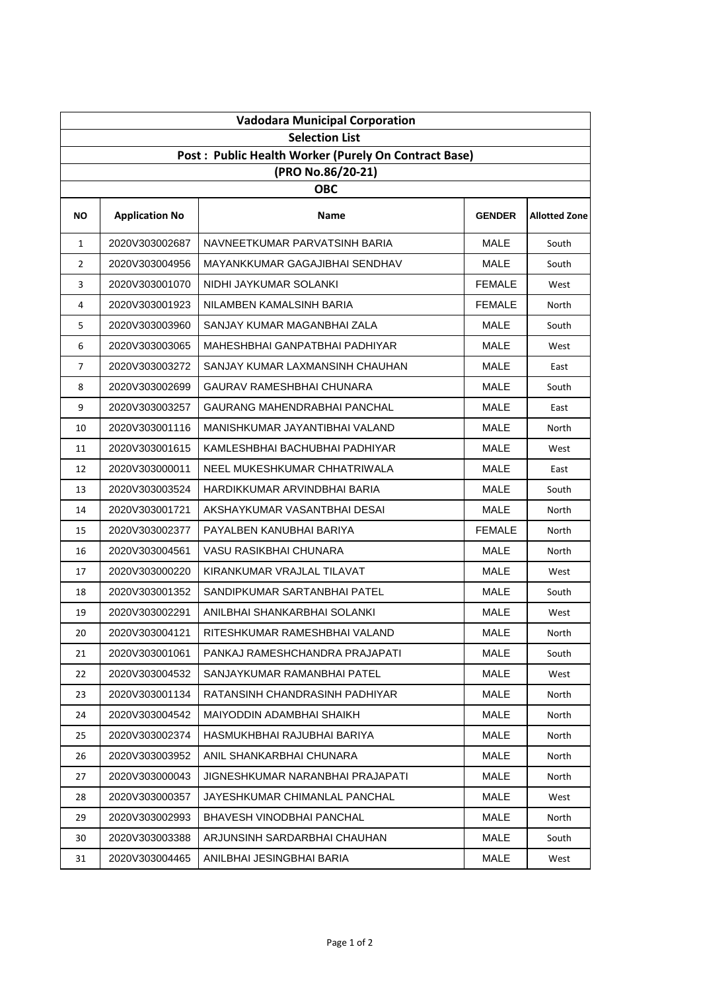| <b>Vadodara Municipal Corporation</b>                |                                 |                                  |               |                      |  |  |  |
|------------------------------------------------------|---------------------------------|----------------------------------|---------------|----------------------|--|--|--|
| <b>Selection List</b>                                |                                 |                                  |               |                      |  |  |  |
| Post: Public Health Worker (Purely On Contract Base) |                                 |                                  |               |                      |  |  |  |
|                                                      | (PRO No.86/20-21)<br><b>OBC</b> |                                  |               |                      |  |  |  |
|                                                      |                                 |                                  |               |                      |  |  |  |
| NO.                                                  | <b>Application No</b>           | Name                             | <b>GENDER</b> | <b>Allotted Zone</b> |  |  |  |
| $\mathbf{1}$                                         | 2020V303002687                  | NAVNEETKUMAR PARVATSINH BARIA    | MALE          | South                |  |  |  |
| $\overline{2}$                                       | 2020V303004956                  | MAYANKKUMAR GAGAJIBHAI SENDHAV   | <b>MALE</b>   | South                |  |  |  |
| 3                                                    | 2020V303001070                  | NIDHI JAYKUMAR SOLANKI           | <b>FEMALE</b> | West                 |  |  |  |
| 4                                                    | 2020V303001923                  | NILAMBEN KAMALSINH BARIA         | <b>FEMALE</b> | North                |  |  |  |
| 5                                                    | 2020V303003960                  | SANJAY KUMAR MAGANBHAI ZALA      | MALE          | South                |  |  |  |
| 6                                                    | 2020V303003065                  | MAHESHBHAI GANPATBHAI PADHIYAR   | <b>MALE</b>   | West                 |  |  |  |
| 7                                                    | 2020V303003272                  | SANJAY KUMAR LAXMANSINH CHAUHAN  | <b>MALE</b>   | East                 |  |  |  |
| 8                                                    | 2020V303002699                  | GAURAV RAMESHBHAI CHUNARA        | <b>MALE</b>   | South                |  |  |  |
| 9                                                    | 2020V303003257                  | GAURANG MAHENDRABHAI PANCHAL     | <b>MALE</b>   | East                 |  |  |  |
| 10                                                   | 2020V303001116                  | MANISHKUMAR JAYANTIBHAI VALAND   | <b>MALE</b>   | North                |  |  |  |
| 11                                                   | 2020V303001615                  | KAMLESHBHAI BACHUBHAI PADHIYAR   | MALE          | West                 |  |  |  |
| 12                                                   | 2020V303000011                  | NEEL MUKESHKUMAR CHHATRIWALA     | <b>MALE</b>   | East                 |  |  |  |
| 13                                                   | 2020V303003524                  | HARDIKKUMAR ARVINDBHAI BARIA     | <b>MALE</b>   | South                |  |  |  |
| 14                                                   | 2020V303001721                  | AKSHAYKUMAR VASANTBHAI DESAI     | <b>MALE</b>   | North                |  |  |  |
| 15                                                   | 2020V303002377                  | PAYALBEN KANUBHAI BARIYA         | <b>FEMALE</b> | North                |  |  |  |
| 16                                                   | 2020V303004561                  | VASU RASIKBHAI CHUNARA           | MALE          | North                |  |  |  |
| 17                                                   | 2020V303000220                  | KIRANKUMAR VRAJLAL TILAVAT       | <b>MALE</b>   | West                 |  |  |  |
| 18                                                   | 2020V303001352                  | SANDIPKUMAR SARTANBHAI PATEL     | <b>MALE</b>   | South                |  |  |  |
| 19                                                   | 2020V303002291                  | ANILBHAI SHANKARBHAI SOLANKI     | <b>MALE</b>   | West                 |  |  |  |
| 20                                                   | 2020V303004121                  | RITESHKUMAR RAMESHBHAI VALAND    | MALE          | North                |  |  |  |
| 21                                                   | 2020V303001061                  | PANKAJ RAMESHCHANDRA PRAJAPATI   | MALE          | South                |  |  |  |
| 22                                                   | 2020V303004532                  | SANJAYKUMAR RAMANBHAI PATEL      | MALE          | West                 |  |  |  |
| 23                                                   | 2020V303001134                  | RATANSINH CHANDRASINH PADHIYAR   | MALE          | North                |  |  |  |
| 24                                                   | 2020V303004542                  | MAIYODDIN ADAMBHAI SHAIKH        | MALE          | North                |  |  |  |
| 25                                                   | 2020V303002374                  | HASMUKHBHAI RAJUBHAI BARIYA      | <b>MALE</b>   | North                |  |  |  |
| 26                                                   | 2020V303003952                  | ANIL SHANKARBHAI CHUNARA         | MALE          | North                |  |  |  |
| 27                                                   | 2020V303000043                  | JIGNESHKUMAR NARANBHAI PRAJAPATI | MALE          | North                |  |  |  |
| 28                                                   | 2020V303000357                  | JAYESHKUMAR CHIMANLAL PANCHAL    | MALE          | West                 |  |  |  |
| 29                                                   | 2020V303002993                  | BHAVESH VINODBHAI PANCHAL        | <b>MALE</b>   | North                |  |  |  |
| 30                                                   | 2020V303003388                  | ARJUNSINH SARDARBHAI CHAUHAN     | MALE          | South                |  |  |  |
| 31                                                   | 2020V303004465                  | ANILBHAI JESINGBHAI BARIA        | MALE          | West                 |  |  |  |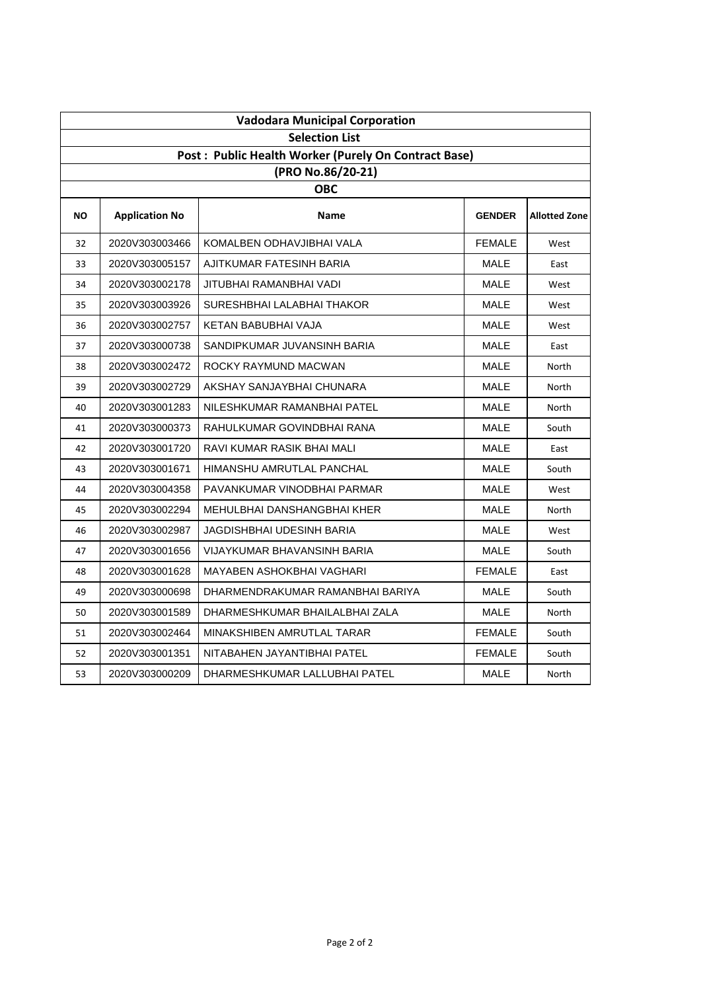|           | <b>Vadodara Municipal Corporation</b> |                                                      |               |                      |  |  |
|-----------|---------------------------------------|------------------------------------------------------|---------------|----------------------|--|--|
|           | <b>Selection List</b>                 |                                                      |               |                      |  |  |
|           |                                       | Post: Public Health Worker (Purely On Contract Base) |               |                      |  |  |
|           |                                       | (PRO No.86/20-21)                                    |               |                      |  |  |
|           |                                       | <b>OBC</b>                                           |               |                      |  |  |
| <b>NO</b> | <b>Application No</b>                 | Name                                                 | <b>GENDER</b> | <b>Allotted Zone</b> |  |  |
| 32        | 2020V303003466                        | KOMALBEN ODHAVJIBHAI VALA                            | <b>FEMALE</b> | West                 |  |  |
| 33        | 2020V303005157                        | AJITKUMAR FATESINH BARIA                             | MALE          | East                 |  |  |
| 34        | 2020V303002178                        | JITUBHAI RAMANBHAI VADI                              | MALE          | West                 |  |  |
| 35        | 2020V303003926                        | SURESHBHAI LALABHAI THAKOR                           | <b>MALE</b>   | West                 |  |  |
| 36        | 2020V303002757                        | KETAN BABUBHAI VAJA                                  | MALE          | West                 |  |  |
| 37        | 2020V303000738                        | SANDIPKUMAR JUVANSINH BARIA                          | <b>MALE</b>   | East                 |  |  |
| 38        | 2020V303002472                        | ROCKY RAYMUND MACWAN                                 | <b>MALE</b>   | North                |  |  |
| 39        | 2020V303002729                        | AKSHAY SANJAYBHAI CHUNARA                            | <b>MALE</b>   | North                |  |  |
| 40        | 2020V303001283                        | NILESHKUMAR RAMANBHAI PATEL                          | MALE          | North                |  |  |
| 41        | 2020V303000373                        | RAHULKUMAR GOVINDBHAI RANA                           | MALE          | South                |  |  |
| 42        | 2020V303001720                        | RAVI KUMAR RASIK BHAI MALI                           | <b>MALE</b>   | East                 |  |  |
| 43        | 2020V303001671                        | HIMANSHU AMRUTLAL PANCHAL                            | MALE          | South                |  |  |
| 44        | 2020V303004358                        | PAVANKUMAR VINODBHAI PARMAR                          | <b>MALE</b>   | West                 |  |  |
| 45        | 2020V303002294                        | MEHULBHAI DANSHANGBHAI KHER                          | <b>MALE</b>   | North                |  |  |
| 46        | 2020V303002987                        | JAGDISHBHAI UDESINH BARIA                            | MALE          | West                 |  |  |
| 47        | 2020V303001656                        | <b>VIJAYKUMAR BHAVANSINH BARIA</b>                   | <b>MALE</b>   | South                |  |  |
| 48        | 2020V303001628                        | MAYABEN ASHOKBHAI VAGHARI                            | <b>FEMALE</b> | East                 |  |  |
| 49        | 2020V303000698                        | DHARMENDRAKUMAR RAMANBHAI BARIYA                     | MALE          | South                |  |  |
| 50        | 2020V303001589                        | DHARMESHKUMAR BHAILALBHAI ZALA                       | <b>MALE</b>   | North                |  |  |
| 51        | 2020V303002464                        | MINAKSHIBEN AMRUTLAL TARAR                           | <b>FEMALE</b> | South                |  |  |
| 52        | 2020V303001351                        | NITABAHEN JAYANTIBHAI PATEL                          | <b>FEMALE</b> | South                |  |  |
| 53        | 2020V303000209                        | DHARMESHKUMAR LALLUBHAI PATEL                        | <b>MALE</b>   | North                |  |  |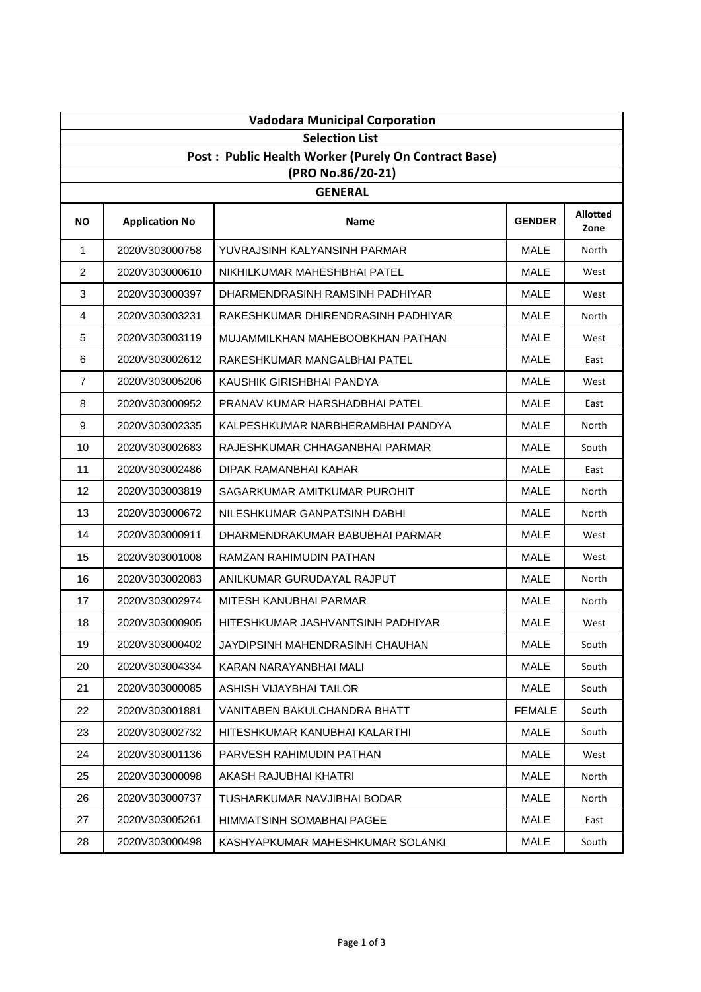| <b>Vadodara Municipal Corporation</b> |                                                      |                                     |               |                         |  |  |
|---------------------------------------|------------------------------------------------------|-------------------------------------|---------------|-------------------------|--|--|
|                                       | <b>Selection List</b>                                |                                     |               |                         |  |  |
|                                       | Post: Public Health Worker (Purely On Contract Base) |                                     |               |                         |  |  |
|                                       |                                                      | (PRO No.86/20-21)<br><b>GENERAL</b> |               |                         |  |  |
| <b>NO</b>                             | <b>Application No</b>                                | <b>Name</b>                         | <b>GENDER</b> | <b>Allotted</b><br>Zone |  |  |
| $\mathbf{1}$                          | 2020V303000758                                       | YUVRAJSINH KALYANSINH PARMAR        | <b>MALE</b>   | North                   |  |  |
| 2                                     | 2020V303000610                                       | NIKHILKUMAR MAHESHBHAI PATEL        | <b>MALE</b>   | West                    |  |  |
| 3                                     | 2020V303000397                                       | DHARMENDRASINH RAMSINH PADHIYAR     | <b>MALE</b>   | West                    |  |  |
| $\overline{4}$                        | 2020V303003231                                       | RAKESHKUMAR DHIRENDRASINH PADHIYAR  | <b>MALE</b>   | North                   |  |  |
| 5                                     | 2020V303003119                                       | MUJAMMILKHAN MAHEBOOBKHAN PATHAN    | <b>MALE</b>   | West                    |  |  |
| 6                                     | 2020V303002612                                       | RAKESHKUMAR MANGALBHAI PATEL        | <b>MALE</b>   | East                    |  |  |
| $\overline{7}$                        | 2020V303005206                                       | KAUSHIK GIRISHBHAI PANDYA           | <b>MALE</b>   | West                    |  |  |
| 8                                     | 2020V303000952                                       | PRANAV KUMAR HARSHADBHAI PATEL      | <b>MALE</b>   | East                    |  |  |
| 9                                     | 2020V303002335                                       | KALPESHKUMAR NARBHERAMBHAI PANDYA   | <b>MALE</b>   | North                   |  |  |
| 10                                    | 2020V303002683                                       | RAJESHKUMAR CHHAGANBHAI PARMAR      | <b>MALE</b>   | South                   |  |  |
| 11                                    | 2020V303002486                                       | DIPAK RAMANBHAI KAHAR               | <b>MALE</b>   | East                    |  |  |
| 12                                    | 2020V303003819                                       | SAGARKUMAR AMITKUMAR PUROHIT        | <b>MALE</b>   | North                   |  |  |
| 13                                    | 2020V303000672                                       | NILESHKUMAR GANPATSINH DABHI        | <b>MALE</b>   | North                   |  |  |
| 14                                    | 2020V303000911                                       | DHARMENDRAKUMAR BABUBHAI PARMAR     | <b>MALE</b>   | West                    |  |  |
| 15                                    | 2020V303001008                                       | RAMZAN RAHIMUDIN PATHAN             | <b>MALE</b>   | West                    |  |  |
| 16                                    | 2020V303002083                                       | ANILKUMAR GURUDAYAL RAJPUT          | <b>MALE</b>   | North                   |  |  |
| 17                                    | 2020V303002974                                       | MITESH KANUBHAI PARMAR              | <b>MALE</b>   | North                   |  |  |
| 18                                    | 2020V303000905                                       | HITESHKUMAR JASHVANTSINH PADHIYAR   | <b>MALE</b>   | West                    |  |  |
| 19                                    | 2020V303000402                                       | JAYDIPSINH MAHENDRASINH CHAUHAN     | <b>MALE</b>   | South                   |  |  |
| 20                                    | 2020V303004334                                       | KARAN NARAYANBHAI MALI              | <b>MALE</b>   | South                   |  |  |
| 21                                    | 2020V303000085                                       | ASHISH VIJAYBHAI TAILOR             | <b>MALE</b>   | South                   |  |  |
| 22                                    | 2020V303001881                                       | VANITABEN BAKULCHANDRA BHATT        | <b>FEMALE</b> | South                   |  |  |
| 23                                    | 2020V303002732                                       | HITESHKUMAR KANUBHAI KALARTHI       | <b>MALE</b>   | South                   |  |  |
| 24                                    | 2020V303001136                                       | PARVESH RAHIMUDIN PATHAN            | <b>MALE</b>   | West                    |  |  |
| 25                                    | 2020V303000098                                       | AKASH RAJUBHAI KHATRI               | <b>MALE</b>   | North                   |  |  |
| 26                                    | 2020V303000737                                       | TUSHARKUMAR NAVJIBHAI BODAR         | MALE          | North                   |  |  |
| 27                                    | 2020V303005261                                       | HIMMATSINH SOMABHAI PAGEE           | <b>MALE</b>   | East                    |  |  |
| 28                                    | 2020V303000498                                       | KASHYAPKUMAR MAHESHKUMAR SOLANKI    | <b>MALE</b>   | South                   |  |  |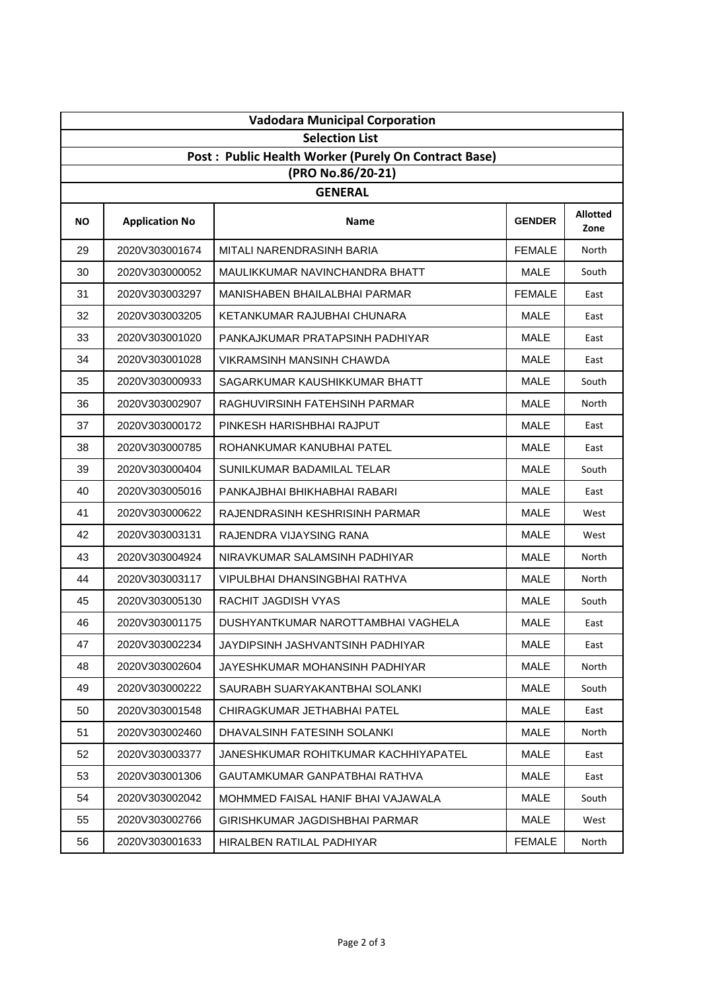| <b>Vadodara Municipal Corporation</b> |                                                      |                                      |               |                         |  |  |
|---------------------------------------|------------------------------------------------------|--------------------------------------|---------------|-------------------------|--|--|
|                                       | <b>Selection List</b>                                |                                      |               |                         |  |  |
|                                       | Post: Public Health Worker (Purely On Contract Base) |                                      |               |                         |  |  |
|                                       |                                                      | (PRO No.86/20-21)<br><b>GENERAL</b>  |               |                         |  |  |
| <b>NO</b>                             | <b>Application No</b>                                | Name                                 | <b>GENDER</b> | <b>Allotted</b><br>Zone |  |  |
| 29                                    | 2020V303001674                                       | MITALI NARENDRASINH BARIA            | <b>FEMALE</b> | North                   |  |  |
| 30                                    | 2020V303000052                                       | MAULIKKUMAR NAVINCHANDRA BHATT       | <b>MALE</b>   | South                   |  |  |
| 31                                    | 2020V303003297                                       | MANISHABEN BHAILALBHAI PARMAR        | <b>FEMALE</b> | East                    |  |  |
| 32                                    | 2020V303003205                                       | KETANKUMAR RAJUBHAI CHUNARA          | <b>MALE</b>   | East                    |  |  |
| 33                                    | 2020V303001020                                       | PANKAJKUMAR PRATAPSINH PADHIYAR      | <b>MALE</b>   | East                    |  |  |
| 34                                    | 2020V303001028                                       | <b>VIKRAMSINH MANSINH CHAWDA</b>     | <b>MALE</b>   | East                    |  |  |
| 35                                    | 2020V303000933                                       | SAGARKUMAR KAUSHIKKUMAR BHATT        | <b>MALE</b>   | South                   |  |  |
| 36                                    | 2020V303002907                                       | RAGHUVIRSINH FATEHSINH PARMAR        | <b>MALE</b>   | North                   |  |  |
| 37                                    | 2020V303000172                                       | PINKESH HARISHBHAI RAJPUT            | <b>MALE</b>   | East                    |  |  |
| 38                                    | 2020V303000785                                       | ROHANKUMAR KANUBHAI PATEL            | <b>MALE</b>   | East                    |  |  |
| 39                                    | 2020V303000404                                       | SUNILKUMAR BADAMILAL TELAR           | <b>MALE</b>   | South                   |  |  |
| 40                                    | 2020V303005016                                       | PANKAJBHAI BHIKHABHAI RABARI         | <b>MALE</b>   | East                    |  |  |
| 41                                    | 2020V303000622                                       | RAJENDRASINH KESHRISINH PARMAR       | <b>MALE</b>   | West                    |  |  |
| 42                                    | 2020V303003131                                       | RAJENDRA VIJAYSING RANA              | <b>MALE</b>   | West                    |  |  |
| 43                                    | 2020V303004924                                       | NIRAVKUMAR SALAMSINH PADHIYAR        | <b>MALE</b>   | North                   |  |  |
| 44                                    | 2020V303003117                                       | VIPULBHAI DHANSINGBHAI RATHVA        | <b>MALE</b>   | North                   |  |  |
| 45                                    | 2020V303005130                                       | RACHIT JAGDISH VYAS                  | <b>MALE</b>   | South                   |  |  |
| 46                                    | 2020V303001175                                       | DUSHYANTKUMAR NAROTTAMBHAI VAGHELA   | <b>MALE</b>   | East                    |  |  |
| 47                                    | 2020V303002234                                       | JAYDIPSINH JASHVANTSINH PADHIYAR     | <b>MALE</b>   | East                    |  |  |
| 48                                    | 2020V303002604                                       | JAYESHKUMAR MOHANSINH PADHIYAR       | <b>MALE</b>   | North                   |  |  |
| 49                                    | 2020V303000222                                       | SAURABH SUARYAKANTBHAI SOLANKI       | <b>MALE</b>   | South                   |  |  |
| 50                                    | 2020V303001548                                       | CHIRAGKUMAR JETHABHAI PATEL          | <b>MALE</b>   | East                    |  |  |
| 51                                    | 2020V303002460                                       | DHAVALSINH FATESINH SOLANKI          | <b>MALE</b>   | North                   |  |  |
| 52                                    | 2020V303003377                                       | JANESHKUMAR ROHITKUMAR KACHHIYAPATEL | <b>MALE</b>   | East                    |  |  |
| 53                                    | 2020V303001306                                       | GAUTAMKUMAR GANPATBHAI RATHVA        | <b>MALE</b>   | East                    |  |  |
| 54                                    | 2020V303002042                                       | MOHMMED FAISAL HANIF BHAI VAJAWALA   | <b>MALE</b>   | South                   |  |  |
| 55                                    | 2020V303002766                                       | GIRISHKUMAR JAGDISHBHAI PARMAR       | <b>MALE</b>   | West                    |  |  |
| 56                                    | 2020V303001633                                       | HIRALBEN RATILAL PADHIYAR            | <b>FEMALE</b> | North                   |  |  |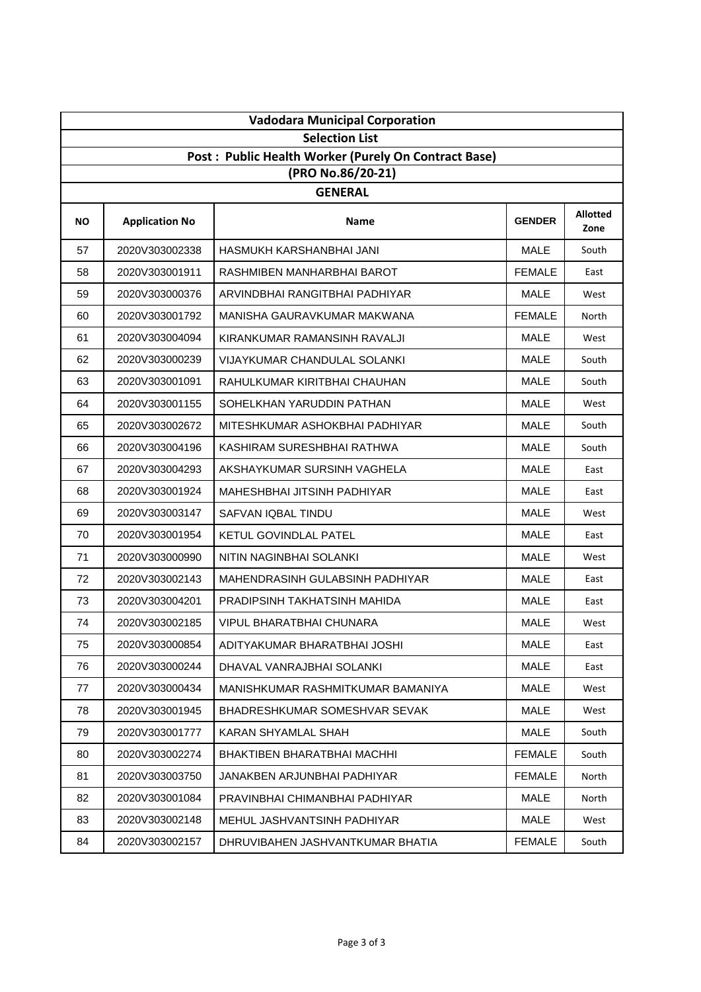| <b>Vadodara Municipal Corporation</b> |                       |                                                      |               |                         |  |
|---------------------------------------|-----------------------|------------------------------------------------------|---------------|-------------------------|--|
|                                       | <b>Selection List</b> |                                                      |               |                         |  |
|                                       |                       | Post: Public Health Worker (Purely On Contract Base) |               |                         |  |
|                                       |                       | (PRO No.86/20-21)<br><b>GENERAL</b>                  |               |                         |  |
| <b>NO</b>                             | <b>Application No</b> | Name                                                 | <b>GENDER</b> | <b>Allotted</b><br>Zone |  |
| 57                                    | 2020V303002338        | HASMUKH KARSHANBHAI JANI                             | <b>MALE</b>   | South                   |  |
| 58                                    | 2020V303001911        | RASHMIBEN MANHARBHAI BAROT                           | <b>FEMALE</b> | East                    |  |
| 59                                    | 2020V303000376        | ARVINDBHAI RANGITBHAI PADHIYAR                       | <b>MALE</b>   | West                    |  |
| 60                                    | 2020V303001792        | MANISHA GAURAVKUMAR MAKWANA                          | <b>FEMALE</b> | North                   |  |
| 61                                    | 2020V303004094        | KIRANKUMAR RAMANSINH RAVALJI                         | <b>MALE</b>   | West                    |  |
| 62                                    | 2020V303000239        | <b>VIJAYKUMAR CHANDULAL SOLANKI</b>                  | <b>MALE</b>   | South                   |  |
| 63                                    | 2020V303001091        | RAHULKUMAR KIRITBHAI CHAUHAN                         | <b>MALE</b>   | South                   |  |
| 64                                    | 2020V303001155        | SOHELKHAN YARUDDIN PATHAN                            | <b>MALE</b>   | West                    |  |
| 65                                    | 2020V303002672        | MITESHKUMAR ASHOKBHAI PADHIYAR                       | <b>MALE</b>   | South                   |  |
| 66                                    | 2020V303004196        | KASHIRAM SURESHBHAI RATHWA                           | <b>MALE</b>   | South                   |  |
| 67                                    | 2020V303004293        | AKSHAYKUMAR SURSINH VAGHELA                          | <b>MALE</b>   | East                    |  |
| 68                                    | 2020V303001924        | MAHESHBHAI JITSINH PADHIYAR                          | <b>MALE</b>   | East                    |  |
| 69                                    | 2020V303003147        | SAFVAN IQBAL TINDU                                   | <b>MALE</b>   | West                    |  |
| 70                                    | 2020V303001954        | <b>KETUL GOVINDLAL PATEL</b>                         | <b>MALE</b>   | East                    |  |
| 71                                    | 2020V303000990        | NITIN NAGINBHAI SOLANKI                              | <b>MALE</b>   | West                    |  |
| 72                                    | 2020V303002143        | MAHENDRASINH GULABSINH PADHIYAR                      | <b>MALE</b>   | East                    |  |
| 73                                    | 2020V303004201        | PRADIPSINH TAKHATSINH MAHIDA                         | <b>MALE</b>   | East                    |  |
| 74                                    | 2020V303002185        | <b>VIPUL BHARATBHAI CHUNARA</b>                      | <b>MALE</b>   | West                    |  |
| 75                                    | 2020V303000854        | ADITYAKUMAR BHARATBHAI JOSHI                         | <b>MALE</b>   | East                    |  |
| 76                                    | 2020V303000244        | DHAVAL VANRAJBHAI SOLANKI                            | <b>MALE</b>   | East                    |  |
| 77                                    | 2020V303000434        | MANISHKUMAR RASHMITKUMAR BAMANIYA                    | <b>MALE</b>   | West                    |  |
| 78                                    | 2020V303001945        | BHADRESHKUMAR SOMESHVAR SEVAK                        | <b>MALE</b>   | West                    |  |
| 79                                    | 2020V303001777        | KARAN SHYAMLAL SHAH                                  | MALE          | South                   |  |
| 80                                    | 2020V303002274        | BHAKTIBEN BHARATBHAI MACHHI                          | <b>FEMALE</b> | South                   |  |
| 81                                    | 2020V303003750        | JANAKBEN ARJUNBHAI PADHIYAR                          | <b>FEMALE</b> | North                   |  |
| 82                                    | 2020V303001084        | PRAVINBHAI CHIMANBHAI PADHIYAR                       | <b>MALE</b>   | North                   |  |
| 83                                    | 2020V303002148        | MEHUL JASHVANTSINH PADHIYAR                          | <b>MALE</b>   | West                    |  |
| 84                                    | 2020V303002157        | DHRUVIBAHEN JASHVANTKUMAR BHATIA                     | <b>FEMALE</b> | South                   |  |